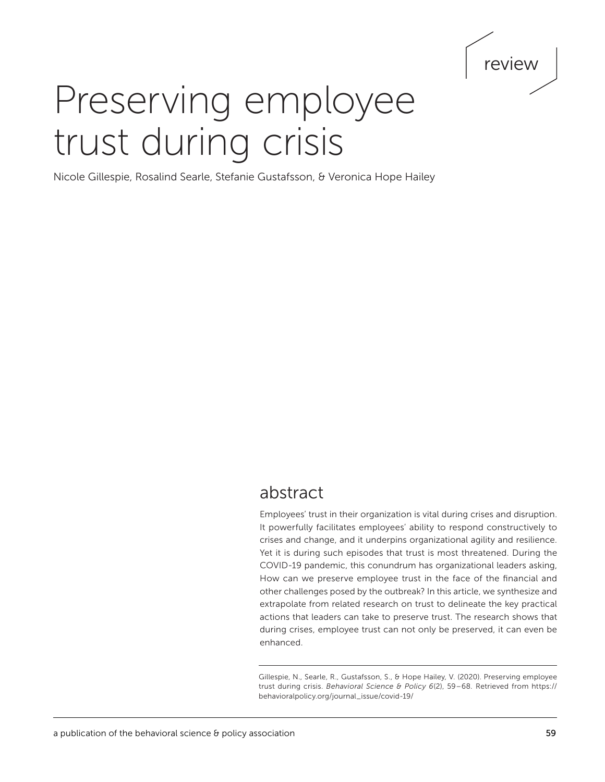# review

# Preserving employee trust during crisis

Nicole Gillespie, Rosalind Searle, Stefanie Gustafsson, & Veronica Hope Hailey

## abstract

Employees' trust in their organization is vital during crises and disruption. It powerfully facilitates employees' ability to respond constructively to crises and change, and it underpins organizational agility and resilience. Yet it is during such episodes that trust is most threatened. During the COVID-19 pandemic, this conundrum has organizational leaders asking, How can we preserve employee trust in the face of the financial and other challenges posed by the outbreak? In this article, we synthesize and extrapolate from related research on trust to delineate the key practical actions that leaders can take to preserve trust. The research shows that during crises, employee trust can not only be preserved, it can even be enhanced.

Gillespie, N., Searle, R., Gustafsson, S., & Hope Hailey, V. (2020). Preserving employee trust during crisis. *Behavioral Science & Policy 6*(2), 59–68*.* Retrieved from [https://](https://behavioralpolicy.org/journal_issue/covid-19/) [behavioralpolicy.org/journal\\_issue/covid-19/](https://behavioralpolicy.org/journal_issue/covid-19/)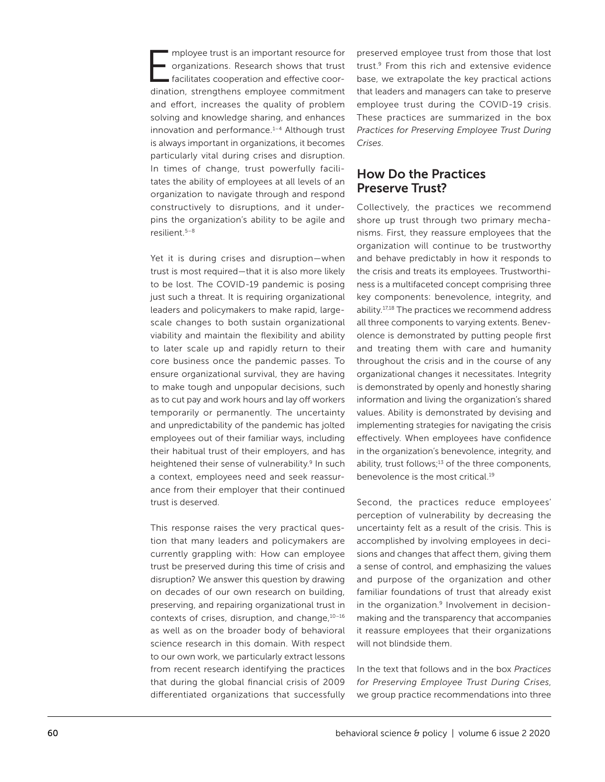mployee trust is an important resource for organizations. Research shows that trust facilitates cooperation and effective coordination, strengthens employee commitment and effort, increases the quality of problem solving and knowledge sharing, and enhances innovation and performance.<sup>1-4</sup> Although trust is always important in organizations, it becomes particularly vital during crises and disruption. In times of change, trust powerfully facilitates the ability of employees at all levels of an organization to navigate through and respond constructively to disruptions, and it underpins the organization's ability to be agile and resilient.5–8

Yet it is during crises and disruption—when trust is most required—that it is also more likely to be lost. The COVID-19 pandemic is posing just such a threat. It is requiring organizational leaders and policymakers to make rapid, largescale changes to both sustain organizational viability and maintain the flexibility and ability to later scale up and rapidly return to their core business once the pandemic passes. To ensure organizational survival, they are having to make tough and unpopular decisions, such as to cut pay and work hours and lay off workers temporarily or permanently. The uncertainty and unpredictability of the pandemic has jolted employees out of their familiar ways, including their habitual trust of their employers, and has heightened their sense of vulnerability.<sup>9</sup> In such a context, employees need and seek reassurance from their employer that their continued trust is deserved.

This response raises the very practical question that many leaders and policymakers are currently grappling with: How can employee trust be preserved during this time of crisis and disruption? We answer this question by drawing on decades of our own research on building, preserving, and repairing organizational trust in contexts of crises, disruption, and change, 10-16 as well as on the broader body of behavioral science research in this domain. With respect to our own work, we particularly extract lessons from recent research identifying the practices that during the global financial crisis of 2009 differentiated organizations that successfully preserved employee trust from those that lost trust.9 From this rich and extensive evidence base, we extrapolate the key practical actions that leaders and managers can take to preserve employee trust during the COVID-19 crisis. These practices are summarized in the box *Practices for Preserving Employee Trust During Crises*.

## How Do the Practices Preserve Trust?

Collectively, the practices we recommend shore up trust through two primary mechanisms. First, they reassure employees that the organization will continue to be trustworthy and behave predictably in how it responds to the crisis and treats its employees. Trustworthiness is a multifaceted concept comprising three key components: benevolence, integrity, and ability.17,18 The practices we recommend address all three components to varying extents. Benevolence is demonstrated by putting people first and treating them with care and humanity throughout the crisis and in the course of any organizational changes it necessitates. Integrity is demonstrated by openly and honestly sharing information and living the organization's shared values. Ability is demonstrated by devising and implementing strategies for navigating the crisis effectively. When employees have confidence in the organization's benevolence, integrity, and ability, trust follows; $13$  of the three components, benevolence is the most critical.19

Second, the practices reduce employees' perception of vulnerability by decreasing the uncertainty felt as a result of the crisis. This is accomplished by involving employees in decisions and changes that affect them, giving them a sense of control, and emphasizing the values and purpose of the organization and other familiar foundations of trust that already exist in the organization.<sup>9</sup> Involvement in decisionmaking and the transparency that accompanies it reassure employees that their organizations will not blindside them.

In the text that follows and in the box *Practices for Preserving Employee Trust During Crises*, we group practice recommendations into three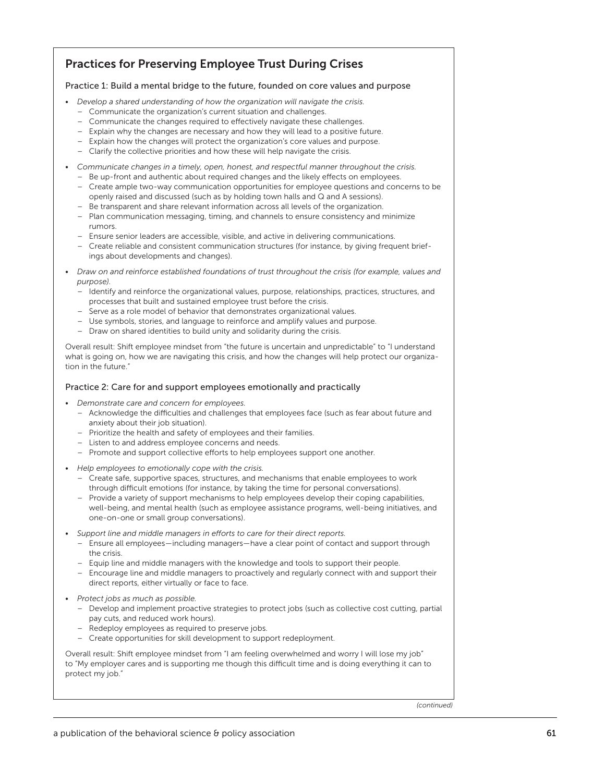## Practices for Preserving Employee Trust During Crises

#### Practice 1: Build a mental bridge to the future, founded on core values and purpose

- *Develop a shared understanding of how the organization will navigate the crisis.*
	- Communicate the organization's current situation and challenges.
	- Communicate the changes required to effectively navigate these challenges.
	- Explain why the changes are necessary and how they will lead to a positive future.
	- Explain how the changes will protect the organization's core values and purpose.
	- Clarify the collective priorities and how these will help navigate the crisis.
- *Communicate changes in a timely, open, honest, and respectful manner throughout the crisis.*
	- Be up-front and authentic about required changes and the likely effects on employees.
	- Create ample two-way communication opportunities for employee questions and concerns to be openly raised and discussed (such as by holding town halls and Q and A sessions).
	- Be transparent and share relevant information across all levels of the organization. – Plan communication messaging, timing, and channels to ensure consistency and minimize
	- rumors.
	- Ensure senior leaders are accessible, visible, and active in delivering communications.
	- Create reliable and consistent communication structures (for instance, by giving frequent briefings about developments and changes).
- *Draw on and reinforce established foundations of trust throughout the crisis (for example, values and purpose).*
	- Identify and reinforce the organizational values, purpose, relationships, practices, structures, and processes that built and sustained employee trust before the crisis.
	- Serve as a role model of behavior that demonstrates organizational values.
	- Use symbols, stories, and language to reinforce and amplify values and purpose.
	- Draw on shared identities to build unity and solidarity during the crisis.

Overall result: Shift employee mindset from "the future is uncertain and unpredictable" to "I understand what is going on, how we are navigating this crisis, and how the changes will help protect our organization in the future."

#### Practice 2: Care for and support employees emotionally and practically

- *Demonstrate care and concern for employees.*
	- Acknowledge the difficulties and challenges that employees face (such as fear about future and anxiety about their job situation).
	- Prioritize the health and safety of employees and their families.
	- Listen to and address employee concerns and needs.
	- Promote and support collective efforts to help employees support one another.
- *Help employees to emotionally cope with the crisis.*
	- Create safe, supportive spaces, structures, and mechanisms that enable employees to work through difficult emotions (for instance, by taking the time for personal conversations).
	- Provide a variety of support mechanisms to help employees develop their coping capabilities, well-being, and mental health (such as employee assistance programs, well-being initiatives, and one-on-one or small group conversations).
- *Support line and middle managers in efforts to care for their direct reports.*
	- Ensure all employees—including managers—have a clear point of contact and support through the crisis.
	- Equip line and middle managers with the knowledge and tools to support their people.
	- Encourage line and middle managers to proactively and regularly connect with and support their direct reports, either virtually or face to face.
- *Protect jobs as much as possible.*
	- Develop and implement proactive strategies to protect jobs (such as collective cost cutting, partial pay cuts, and reduced work hours).
	- Redeploy employees as required to preserve jobs.
	- Create opportunities for skill development to support redeployment.

Overall result: Shift employee mindset from "I am feeling overwhelmed and worry I will lose my job" to "My employer cares and is supporting me though this difficult time and is doing everything it can to protect my job."

*(continued)*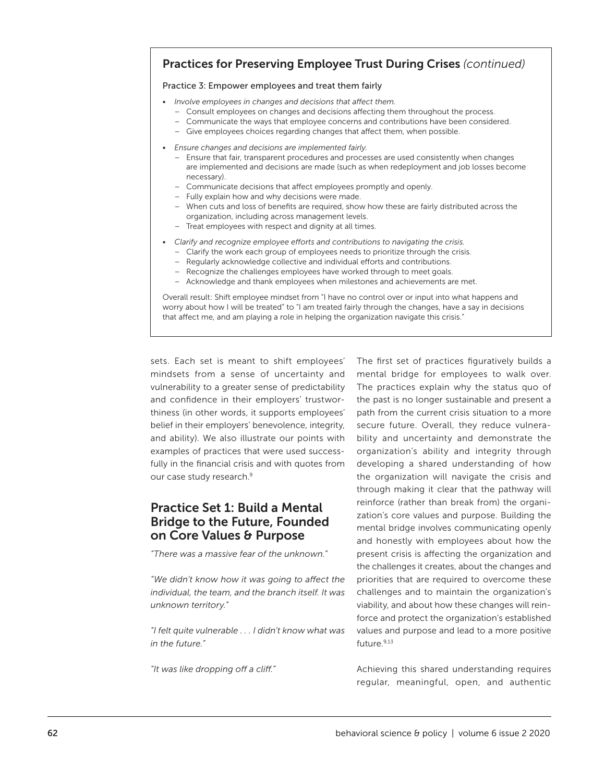## Practices for Preserving Employee Trust During Crises *(continued)*

#### Practice 3: Empower employees and treat them fairly

- *Involve employees in changes and decisions that affect them.*
	- Consult employees on changes and decisions affecting them throughout the process.
	- Communicate the ways that employee concerns and contributions have been considered.
	- Give employees choices regarding changes that affect them, when possible.
- *Ensure changes and decisions are implemented fairly.*
	- Ensure that fair, transparent procedures and processes are used consistently when changes are implemented and decisions are made (such as when redeployment and job losses become necessary).
	- Communicate decisions that affect employees promptly and openly.
	- Fully explain how and why decisions were made.
	- When cuts and loss of benefits are required, show how these are fairly distributed across the organization, including across management levels.
	- Treat employees with respect and dignity at all times.
- *Clarify and recognize employee efforts and contributions to navigating the crisis.*
	- Clarify the work each group of employees needs to prioritize through the crisis.
	- Regularly acknowledge collective and individual efforts and contributions.
	- Recognize the challenges employees have worked through to meet goals.
	- Acknowledge and thank employees when milestones and achievements are met.

Overall result: Shift employee mindset from "I have no control over or input into what happens and worry about how I will be treated" to "I am treated fairly through the changes, have a say in decisions that affect me, and am playing a role in helping the organization navigate this crisis."

sets. Each set is meant to shift employees' mindsets from a sense of uncertainty and vulnerability to a greater sense of predictability and confidence in their employers' trustworthiness (in other words, it supports employees' belief in their employers' benevolence, integrity, and ability). We also illustrate our points with examples of practices that were used successfully in the financial crisis and with quotes from our case study research.<sup>9</sup>

## Practice Set 1: Build a Mental Bridge to the Future, Founded on Core Values & Purpose

*"There was a massive fear of the unknown."*

*"We didn't know how it was going to affect the individual, the team, and the branch itself. It was unknown territory."*

*"I felt quite vulnerable . . . I didn't know what was in the future."*

*"It was like dropping off a cliff."*

The first set of practices figuratively builds a mental bridge for employees to walk over. The practices explain why the status quo of the past is no longer sustainable and present a path from the current crisis situation to a more secure future. Overall, they reduce vulnerability and uncertainty and demonstrate the organization's ability and integrity through developing a shared understanding of how the organization will navigate the crisis and through making it clear that the pathway will reinforce (rather than break from) the organization's core values and purpose. Building the mental bridge involves communicating openly and honestly with employees about how the present crisis is affecting the organization and the challenges it creates, about the changes and priorities that are required to overcome these challenges and to maintain the organization's viability, and about how these changes will reinforce and protect the organization's established values and purpose and lead to a more positive future.9,13

Achieving this shared understanding requires regular, meaningful, open, and authentic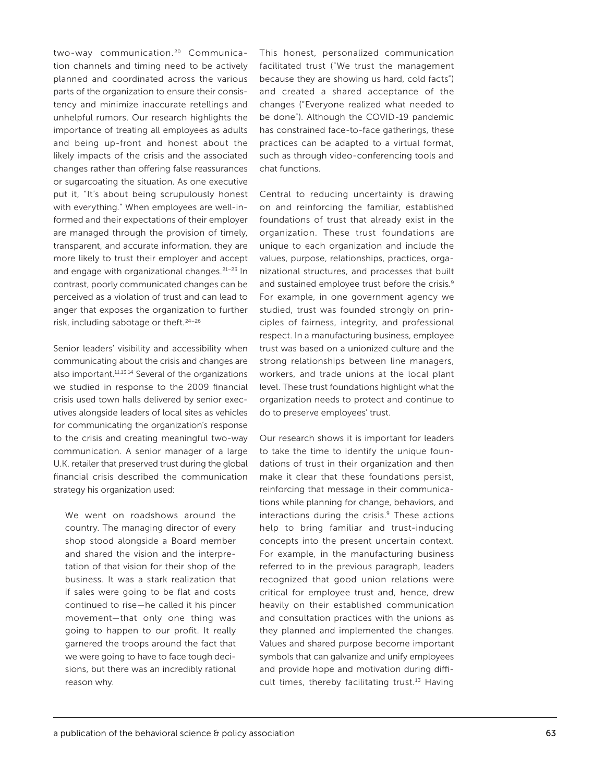two-way communication.<sup>20</sup> Communication channels and timing need to be actively planned and coordinated across the various parts of the organization to ensure their consistency and minimize inaccurate retellings and unhelpful rumors. Our research highlights the importance of treating all employees as adults and being up-front and honest about the likely impacts of the crisis and the associated changes rather than offering false reassurances or sugarcoating the situation. As one executive put it, "It's about being scrupulously honest with everything*.*" When employees are well-informed and their expectations of their employer are managed through the provision of timely, transparent, and accurate information, they are more likely to trust their employer and accept and engage with organizational changes.<sup>21-23</sup> In contrast, poorly communicated changes can be perceived as a violation of trust and can lead to anger that exposes the organization to further risk, including sabotage or theft.24–26

Senior leaders' visibility and accessibility when communicating about the crisis and changes are also important.11,13,14 Several of the organizations we studied in response to the 2009 financial crisis used town halls delivered by senior executives alongside leaders of local sites as vehicles for communicating the organization's response to the crisis and creating meaningful two-way communication. A senior manager of a large U.K. retailer that preserved trust during the global financial crisis described the communication strategy his organization used:

We went on roadshows around the country. The managing director of every shop stood alongside a Board member and shared the vision and the interpretation of that vision for their shop of the business. It was a stark realization that if sales were going to be flat and costs continued to rise—he called it his pincer movement—that only one thing was going to happen to our profit. It really garnered the troops around the fact that we were going to have to face tough decisions, but there was an incredibly rational reason why.

This honest, personalized communication facilitated trust ("We trust the management because they are showing us hard, cold facts") and created a shared acceptance of the changes ("Everyone realized what needed to be done"). Although the COVID-19 pandemic has constrained face-to-face gatherings, these practices can be adapted to a virtual format, such as through video-conferencing tools and chat functions.

Central to reducing uncertainty is drawing on and reinforcing the familiar, established foundations of trust that already exist in the organization. These trust foundations are unique to each organization and include the values, purpose, relationships, practices, organizational structures, and processes that built and sustained employee trust before the crisis*.* 9 For example, in one government agency we studied, trust was founded strongly on principles of fairness, integrity, and professional respect. In a manufacturing business, employee trust was based on a unionized culture and the strong relationships between line managers, workers, and trade unions at the local plant level. These trust foundations highlight what the organization needs to protect and continue to do to preserve employees' trust.

Our research shows it is important for leaders to take the time to identify the unique foundations of trust in their organization and then make it clear that these foundations persist, reinforcing that message in their communications while planning for change, behaviors, and interactions during the crisis.<sup>9</sup> These actions help to bring familiar and trust-inducing concepts into the present uncertain context. For example, in the manufacturing business referred to in the previous paragraph, leaders recognized that good union relations were critical for employee trust and, hence, drew heavily on their established communication and consultation practices with the unions as they planned and implemented the changes. Values and shared purpose become important symbols that can galvanize and unify employees and provide hope and motivation during difficult times, thereby facilitating trust.<sup>13</sup> Having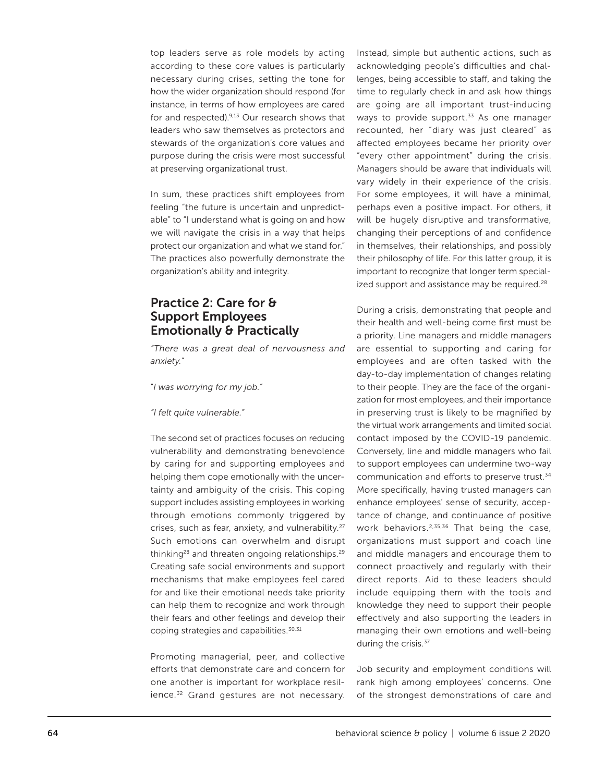top leaders serve as role models by acting according to these core values is particularly necessary during crises, setting the tone for how the wider organization should respond (for instance, in terms of how employees are cared for and respected).9,13 Our research shows that leaders who saw themselves as protectors and stewards of the organization's core values and purpose during the crisis were most successful at preserving organizational trust.

In sum, these practices shift employees from feeling "the future is uncertain and unpredictable" to "I understand what is going on and how we will navigate the crisis in a way that helps protect our organization and what we stand for." The practices also powerfully demonstrate the organization's ability and integrity.

## Practice 2: Care for & Support Employees Emotionally & Practically

*"There was a great deal of nervousness and anxiety."*

"*I was worrying for my job."*

*"I felt quite vulnerable."*

The second set of practices focuses on reducing vulnerability and demonstrating benevolence by caring for and supporting employees and helping them cope emotionally with the uncertainty and ambiguity of the crisis. This coping support includes assisting employees in working through emotions commonly triggered by crises, such as fear, anxiety, and vulnerability.27 Such emotions can overwhelm and disrupt thinking<sup>28</sup> and threaten ongoing relationships.<sup>29</sup> Creating safe social environments and support mechanisms that make employees feel cared for and like their emotional needs take priority can help them to recognize and work through their fears and other feelings and develop their coping strategies and capabilities.<sup>30,31</sup>

Promoting managerial, peer, and collective efforts that demonstrate care and concern for one another is important for workplace resilience.<sup>32</sup> Grand gestures are not necessary. Instead, simple but authentic actions, such as acknowledging people's difficulties and challenges, being accessible to staff, and taking the time to regularly check in and ask how things are going are all important trust-inducing ways to provide support. $33$  As one manager recounted, her "diary was just cleared" as affected employees became her priority over "every other appointment" during the crisis. Managers should be aware that individuals will vary widely in their experience of the crisis. For some employees, it will have a minimal, perhaps even a positive impact. For others, it will be hugely disruptive and transformative, changing their perceptions of and confidence in themselves, their relationships, and possibly their philosophy of life. For this latter group, it is important to recognize that longer term specialized support and assistance may be required.<sup>28</sup>

During a crisis, demonstrating that people and their health and well-being come first must be a priority. Line managers and middle managers are essential to supporting and caring for employees and are often tasked with the day-to-day implementation of changes relating to their people. They are the face of the organization for most employees, and their importance in preserving trust is likely to be magnified by the virtual work arrangements and limited social contact imposed by the COVID-19 pandemic. Conversely, line and middle managers who fail to support employees can undermine two-way communication and efforts to preserve trust.34 More specifically, having trusted managers can enhance employees' sense of security, acceptance of change, and continuance of positive work behaviors.<sup>2,35,36</sup> That being the case, organizations must support and coach line and middle managers and encourage them to connect proactively and regularly with their direct reports. Aid to these leaders should include equipping them with the tools and knowledge they need to support their people effectively and also supporting the leaders in managing their own emotions and well-being during the crisis.<sup>37</sup>

Job security and employment conditions will rank high among employees' concerns. One of the strongest demonstrations of care and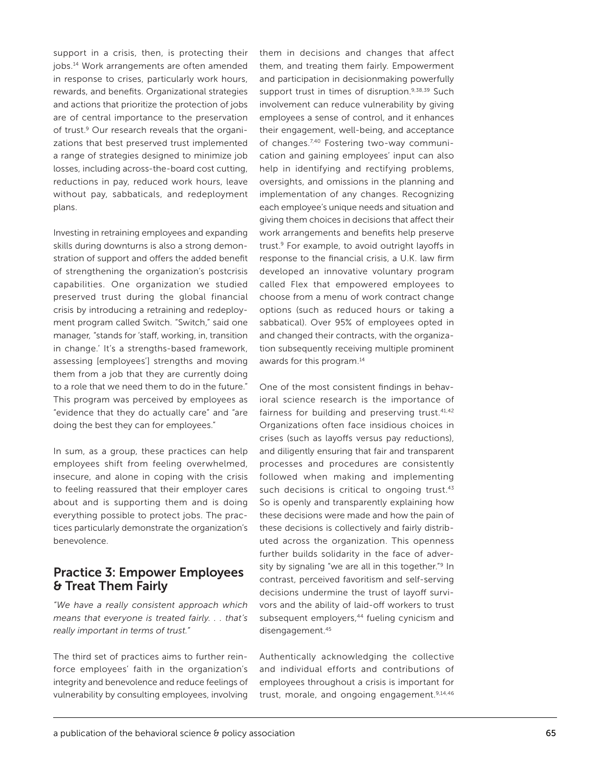support in a crisis, then, is protecting their jobs.14 Work arrangements are often amended in response to crises, particularly work hours, rewards, and benefits. Organizational strategies and actions that prioritize the protection of jobs are of central importance to the preservation of trust.<sup>9</sup> Our research reveals that the organizations that best preserved trust implemented a range of strategies designed to minimize job losses, including across-the-board cost cutting, reductions in pay, reduced work hours, leave without pay, sabbaticals, and redeployment plans.

Investing in retraining employees and expanding skills during downturns is also a strong demonstration of support and offers the added benefit of strengthening the organization's postcrisis capabilities. One organization we studied preserved trust during the global financial crisis by introducing a retraining and redeployment program called Switch. "Switch," said one manager*,* "stands for 'staff, working, in, transition in change.' It's a strengths-based framework, assessing [employees'] strengths and moving them from a job that they are currently doing to a role that we need them to do in the future." This program was perceived by employees as "evidence that they do actually care" and "are doing the best they can for employees."

In sum, as a group, these practices can help employees shift from feeling overwhelmed, insecure, and alone in coping with the crisis to feeling reassured that their employer cares about and is supporting them and is doing everything possible to protect jobs. The practices particularly demonstrate the organization's benevolence.

## Practice 3: Empower Employees & Treat Them Fairly

*"We have a really consistent approach which means that everyone is treated fairly. . . that's really important in terms of trust."*

The third set of practices aims to further reinforce employees' faith in the organization's integrity and benevolence and reduce feelings of vulnerability by consulting employees, involving

them in decisions and changes that affect them, and treating them fairly. Empowerment and participation in decisionmaking powerfully support trust in times of disruption.9,38,39 Such involvement can reduce vulnerability by giving employees a sense of control, and it enhances their engagement, well-being, and acceptance of changes.<sup>7,40</sup> Fostering two-way communication and gaining employees' input can also help in identifying and rectifying problems, oversights, and omissions in the planning and implementation of any changes. Recognizing each employee's unique needs and situation and giving them choices in decisions that affect their work arrangements and benefits help preserve trust.<sup>9</sup> For example, to avoid outright layoffs in response to the financial crisis, a U.K. law firm developed an innovative voluntary program called Flex that empowered employees to choose from a menu of work contract change options (such as reduced hours or taking a sabbatical). Over 95% of employees opted in and changed their contracts, with the organization subsequently receiving multiple prominent awards for this program.14

One of the most consistent findings in behavioral science research is the importance of fairness for building and preserving trust.<sup>41,42</sup> Organizations often face insidious choices in crises (such as layoffs versus pay reductions), and diligently ensuring that fair and transparent processes and procedures are consistently followed when making and implementing such decisions is critical to ongoing trust.<sup>43</sup> So is openly and transparently explaining how these decisions were made and how the pain of these decisions is collectively and fairly distributed across the organization. This openness further builds solidarity in the face of adversity by signaling "we are all in this together."<sup>9</sup> In contrast, perceived favoritism and self-serving decisions undermine the trust of layoff survivors and the ability of laid-off workers to trust subsequent employers,<sup>44</sup> fueling cynicism and disengagement.<sup>45</sup>

Authentically acknowledging the collective and individual efforts and contributions of employees throughout a crisis is important for trust, morale, and ongoing engagement.<sup>9,14,46</sup>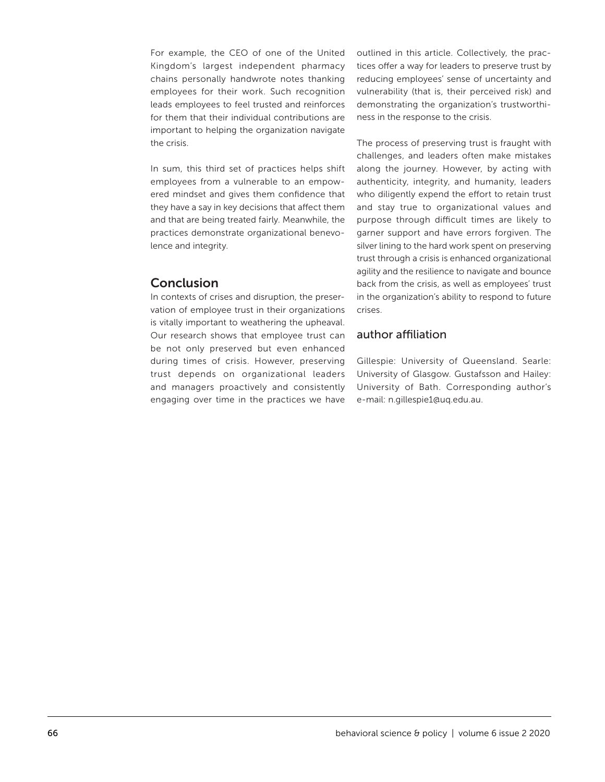For example, the CEO of one of the United Kingdom's largest independent pharmacy chains personally handwrote notes thanking employees for their work. Such recognition leads employees to feel trusted and reinforces for them that their individual contributions are important to helping the organization navigate the crisis.

In sum, this third set of practices helps shift employees from a vulnerable to an empowered mindset and gives them confidence that they have a say in key decisions that affect them and that are being treated fairly. Meanwhile, the practices demonstrate organizational benevolence and integrity.

## Conclusion

In contexts of crises and disruption, the preservation of employee trust in their organizations is vitally important to weathering the upheaval. Our research shows that employee trust can be not only preserved but even enhanced during times of crisis. However, preserving trust depends on organizational leaders and managers proactively and consistently engaging over time in the practices we have outlined in this article. Collectively, the practices offer a way for leaders to preserve trust by reducing employees' sense of uncertainty and vulnerability (that is, their perceived risk) and demonstrating the organization's trustworthiness in the response to the crisis.

The process of preserving trust is fraught with challenges, and leaders often make mistakes along the journey. However, by acting with authenticity, integrity, and humanity, leaders who diligently expend the effort to retain trust and stay true to organizational values and purpose through difficult times are likely to garner support and have errors forgiven. The silver lining to the hard work spent on preserving trust through a crisis is enhanced organizational agility and the resilience to navigate and bounce back from the crisis, as well as employees' trust in the organization's ability to respond to future crises.

## author affiliation

Gillespie: University of Queensland. Searle: University of Glasgow. Gustafsson and Hailey: University of Bath. Corresponding author's e-mail: [n.gillespie1@uq.edu.au.](mailto:n.gillespie1@uq.edu.au)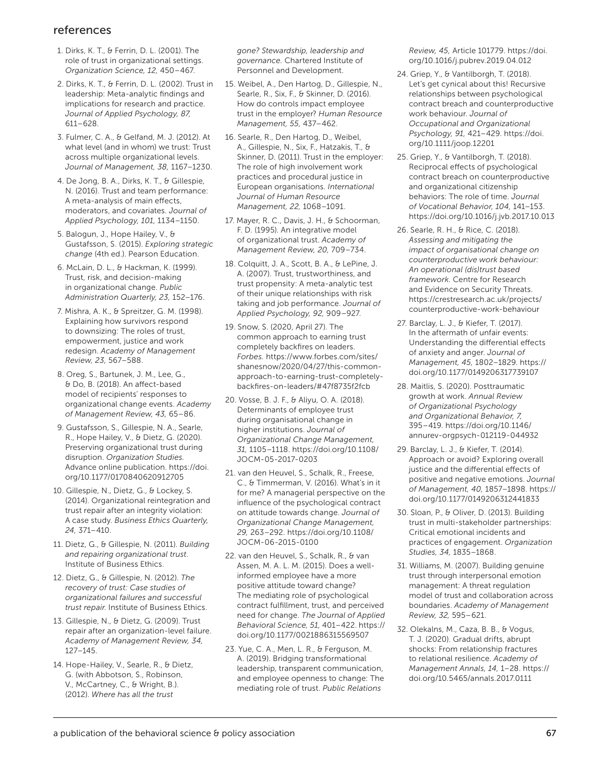### references

- 1. Dirks, K. T., & Ferrin, D. L. (2001). The role of trust in organizational settings. *Organization Science, 12,* 450–467.
- 2. Dirks, K. T., & Ferrin, D. L. (2002). Trust in leadership: Meta-analytic findings and implications for research and practice. *Journal of Applied Psychology, 87,* 611–628.
- 3. Fulmer, C. A., & Gelfand, M. J. (2012). At what level (and in whom) we trust: Trust across multiple organizational levels. *Journal of Management, 38,* 1167–1230.
- 4. De Jong, B. A., Dirks, K. T., & Gillespie, N. (2016). Trust and team performance: A meta-analysis of main effects, moderators, and covariates. *Journal of Applied Psychology, 101,* 1134–1150.
- 5. Balogun, J., Hope Hailey, V., & Gustafsson, S. (2015). *Exploring strategic change* (4th ed.). Pearson Education.
- 6. McLain, D. L., & Hackman, K. (1999). Trust, risk, and decision-making in organizational change. *Public Administration Quarterly, 23,* 152–176.
- 7. Mishra, A. K., & Spreitzer, G. M. (1998). Explaining how survivors respond to downsizing: The roles of trust, empowerment, justice and work redesign. *Academy of Management Review, 23,* 567–588.
- 8. Oreg, S., Bartunek, J. M., Lee, G., & Do, B. (2018). An affect-based model of recipients' responses to organizational change events. *Academy of Management Review, 43,* 65–86.
- 9. Gustafsson, S., Gillespie, N. A., Searle, R., Hope Hailey, V., & Dietz, G. (2020). Preserving organizational trust during disruption. *Organization Studies.* Advance online publication. [https://doi.](https://doi.org/10.1177/0170840620912705) [org/10.1177/0170840620912705](https://doi.org/10.1177/0170840620912705)
- 10. Gillespie, N., Dietz, G., & Lockey, S. (2014). Organizational reintegration and trust repair after an integrity violation: A case study. *Business Ethics Quarterly, 24,* 371–410.
- 11. Dietz, G., & Gillespie, N. (2011). *Building and repairing organizational trust*. Institute of Business Ethics.
- 12. Dietz, G., & Gillespie, N. (2012). *The recovery of trust: Case studies of organizational failures and successful trust repair*. Institute of Business Ethics.
- 13. Gillespie, N., & Dietz, G. (2009). Trust repair after an organization-level failure. *Academy of Management Review, 34,* 127–145.
- 14. Hope-Hailey, V., Searle, R., & Dietz, G. (with Abbotson, S., Robinson, V., McCartney, C., & Wright, B.). (2012). *Where has all the trust*

*gone? Stewardship, leadership and governance.* Chartered Institute of Personnel and Development.

- 15. Weibel, A., Den Hartog, D., Gillespie, N., Searle, R., Six, F., & Skinner, D. (2016). How do controls impact employee trust in the employer? *Human Resource Management, 55,* 437–462.
- 16. Searle, R., Den Hartog, D., Weibel, A., Gillespie, N., Six, F., Hatzakis, T., & Skinner, D. (2011). Trust in the employer: The role of high involvement work practices and procedural justice in European organisations. *International Journal of Human Resource Management, 22,* 1068–1091.
- 17. Mayer, R. C., Davis, J. H., & Schoorman, F. D. (1995). An integrative model of organizational trust. *Academy of Management Review, 20,* 709–734.
- 18. Colquitt, J. A., Scott, B. A., & LePine, J. A. (2007). Trust, trustworthiness, and trust propensity: A meta-analytic test of their unique relationships with risk taking and job performance. *Journal of Applied Psychology, 92,* 909–927.
- 19. Snow, S. (2020, April 27). The common approach to earning trust completely backfires on leaders. *Forbes.* https:/[/www.forbes.com/sites/](https://www.forbes.com/sites/shanesnow/2020/04/27/this-common-approach-to-earning-trust-completely-backfires-on-leaders/#47f8735f2fcb) [shanesnow/2020/04/27/this-common](https://www.forbes.com/sites/shanesnow/2020/04/27/this-common-approach-to-earning-trust-completely-backfires-on-leaders/#47f8735f2fcb)[approach-to-earning-trust-completely](https://www.forbes.com/sites/shanesnow/2020/04/27/this-common-approach-to-earning-trust-completely-backfires-on-leaders/#47f8735f2fcb)[backfires-on-leaders/#47f8735f2fcb](https://www.forbes.com/sites/shanesnow/2020/04/27/this-common-approach-to-earning-trust-completely-backfires-on-leaders/#47f8735f2fcb)
- 20. Vosse, B. J. F., & Aliyu, O. A. (2018). Determinants of employee trust during organisational change in higher institutions. *Journal of Organizational Change Management, 31,* 1105–1118. [https://doi.org/10.1108/](https://doi.org/10.1108/JOCM-05-2017-0203) [JOCM-05-2017-0203](https://doi.org/10.1108/JOCM-05-2017-0203)
- 21. van den Heuvel, S., Schalk, R., Freese, C., & Timmerman, V. (2016). What's in it for me? A managerial perspective on the influence of the psychological contract on attitude towards change. *Journal of Organizational Change Management, 29,* 263–292. [https://doi.org/10.1108/](https://doi.org/10.1108/JOCM-06-2015-0100) [JOCM-06-2015-0100](https://doi.org/10.1108/JOCM-06-2015-0100)
- 22. van den Heuvel, S., Schalk, R., & van Assen, M. A. L. M. (2015). Does a wellinformed employee have a more positive attitude toward change? The mediating role of psychological contract fulfillment, trust, and perceived need for change. *The Journal of Applied Behavioral Science, 51,* 401–422. [https://](https://doi.org/10.1177/0021886315569507) [doi.org/10.1177/0021886315569507](https://doi.org/10.1177/0021886315569507)
- 23. Yue, C. A., Men, L. R., & Ferguson, M. A. (2019). Bridging transformational leadership, transparent communication, and employee openness to change: The mediating role of trust. *Public Relations*

*Review, 45,* Article 101779. [https://doi.](https://doi.org/10.1016/j.pubrev.2019.04.012) [org/10.1016/j.pubrev.2019.04.012](https://doi.org/10.1016/j.pubrev.2019.04.012)

- 24. Griep, Y., & Vantilborgh, T. (2018). Let's get cynical about this! Recursive relationships between psychological contract breach and counterproductive work behaviour. *Journal of Occupational and Organizational Psychology, 91,* 421–429. [https://doi.](https://doi.org/10.1111/joop.12201) [org/10.1111/joop.12201](https://doi.org/10.1111/joop.12201)
- 25. Griep, Y., & Vantilborgh, T. (2018). Reciprocal effects of psychological contract breach on counterproductive and organizational citizenship behaviors: The role of time. *Journal of Vocational Behavior, 104,* 141–153. <https://doi.org/10.1016/j.jvb.2017.10.013>
- 26. Searle, R. H., & Rice, C. (2018). *Assessing and mitigating the impact of organisational change on counterproductive work behaviour: An operational (dis)trust based framework.* Centre for Research and Evidence on Security Threats. [https://crestresearch.ac.uk/projects/](https://crestresearch.ac.uk/projects/counterproductive-work-behaviour) [counterproductive-work-behaviour](https://crestresearch.ac.uk/projects/counterproductive-work-behaviour)
- 27. Barclay, L. J., & Kiefer, T. (2017). In the aftermath of unfair events: Understanding the differential effects of anxiety and anger. *Journal of Management, 45,* 1802–1829. [https://](https://doi.org/10.1177/0149206317739107) [doi.org/10.1177/0149206317739107](https://doi.org/10.1177/0149206317739107)
- 28. Maitlis, S. (2020). Posttraumatic growth at work. *Annual Review of Organizational Psychology and Organizational Behavior, 7,* 395–419. [https://doi.org/10.1146/](https://doi.org/10.1146/annurev-orgpsych-012119-044932) [annurev-orgpsych-012119-044932](https://doi.org/10.1146/annurev-orgpsych-012119-044932)
- 29. Barclay, L. J., & Kiefer, T. (2014). Approach or avoid? Exploring overall justice and the differential effects of positive and negative emotions. *Journal of Management, 40,* 1857–1898. [https://](https://doi.org/10.1177/0149206312441833) [doi.org/10.1177/0149206312441833](https://doi.org/10.1177/0149206312441833)
- 30. Sloan, P., & Oliver, D. (2013). Building trust in multi-stakeholder partnerships: Critical emotional incidents and practices of engagement. *Organization Studies, 34,* 1835–1868.
- 31. Williams, M. (2007). Building genuine trust through interpersonal emotion management: A threat regulation model of trust and collaboration across boundaries. *Academy of Management Review, 32,* 595–621.
- 32. Olekalns, M., Caza, B. B., & Vogus, T. J. (2020). Gradual drifts, abrupt shocks: From relationship fractures to relational resilience. *Academy of Management Annals, 14,* 1–28. [https://](https://doi.org/10.5465/annals.2017.0111) [doi.org/10.5465/annals.2017.0111](https://doi.org/10.5465/annals.2017.0111)